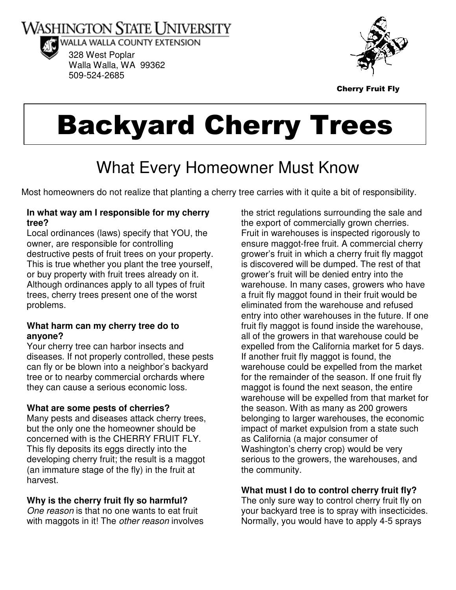**WASHINGTON STATE UNIVERSITY** 



WALLA WALLA COUNTY EXTENSION 328 West Poplar Walla Walla, WA 99362 509-524-2685



Cherry Fruit Fly

# Backyard Cherry Trees

## What Every Homeowner Must Know

Most homeowners do not realize that planting a cherry tree carries with it quite a bit of responsibility.

#### **In what way am I responsible for my cherry tree?**

Local ordinances (laws) specify that YOU, the owner, are responsible for controlling destructive pests of fruit trees on your property. This is true whether you plant the tree yourself, or buy property with fruit trees already on it. Although ordinances apply to all types of fruit trees, cherry trees present one of the worst problems.

#### **What harm can my cherry tree do to anyone?**

Your cherry tree can harbor insects and diseases. If not properly controlled, these pests can fly or be blown into a neighbor's backyard tree or to nearby commercial orchards where they can cause a serious economic loss.

#### **What are some pests of cherries?**

Many pests and diseases attack cherry trees, but the only one the homeowner should be concerned with is the CHERRY FRUIT FLY. This fly deposits its eggs directly into the developing cherry fruit; the result is a maggot (an immature stage of the fly) in the fruit at harvest.

#### **Why is the cherry fruit fly so harmful?**

One reason is that no one wants to eat fruit with maggots in it! The *other reason* involves

the strict regulations surrounding the sale and the export of commercially grown cherries. Fruit in warehouses is inspected rigorously to ensure maggot-free fruit. A commercial cherry grower's fruit in which a cherry fruit fly maggot is discovered will be dumped. The rest of that grower's fruit will be denied entry into the warehouse. In many cases, growers who have a fruit fly maggot found in their fruit would be eliminated from the warehouse and refused entry into other warehouses in the future. If one fruit fly maggot is found inside the warehouse, all of the growers in that warehouse could be expelled from the California market for 5 days. If another fruit fly maggot is found, the warehouse could be expelled from the market for the remainder of the season. If one fruit fly maggot is found the next season, the entire warehouse will be expelled from that market for the season. With as many as 200 growers belonging to larger warehouses, the economic impact of market expulsion from a state such as California (a major consumer of Washington's cherry crop) would be very serious to the growers, the warehouses, and the community.

### **What must I do to control cherry fruit fly?**

The only sure way to control cherry fruit fly on your backyard tree is to spray with insecticides. Normally, you would have to apply 4-5 sprays